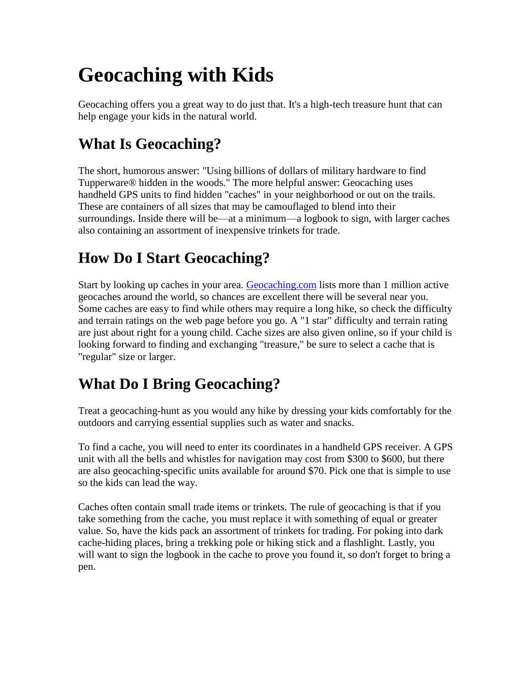# **Geocaching with Kids**

Geocaching offers you a great way to do just that. It's a high-tech treasure hunt that can help engage your kids in the natural world.

# **What Is Geocaching?**

The short, humorous answer: "Using billions of dollars of military hardware to find Tupperware® hidden in the woods." The more helpful answer: Geocaching uses handheld GPS units to find hidden "caches" in your neighborhood or out on the trails. These are containers of all sizes that may be camouflaged to blend into their surroundings. Inside there will be—at a minimum—a logbook to sign, with larger caches also containing an assortment of inexpensive trinkets for trade.

## **How Do I Start Geocaching?**

Start by looking up caches in your area. [Geocaching.com](http://www.geocaching.com/) lists more than 1 million active geocaches around the world, so chances are excellent there will be several near you. Some caches are easy to find while others may require a long hike, so check the difficulty and terrain ratings on the web page before you go. A "1 star" difficulty and terrain rating are just about right for a young child. Cache sizes are also given online, so if your child is looking forward to finding and exchanging "treasure," be sure to select a cache that is "regular" size or larger.

## **What Do I Bring Geocaching?**

Treat a geocaching-hunt as you would any hike by dressing your kids comfortably for the outdoors and carrying essential supplies such as water and snacks.

To find a cache, you will need to enter its coordinates in a handheld GPS receiver. A GPS unit with all the bells and whistles for navigation may cost from \$300 to \$600, but there are also geocaching-specific units available for around \$70. Pick one that is simple to use so the kids can lead the way.

Caches often contain small trade items or trinkets. The rule of geocaching is that if you take something from the cache, you must replace it with something of equal or greater value. So, have the kids pack an assortment of trinkets for trading. For poking into dark cache-hiding places, bring a trekking pole or hiking stick and a flashlight. Lastly, you will want to sign the logbook in the cache to prove you found it, so don't forget to bring a pen.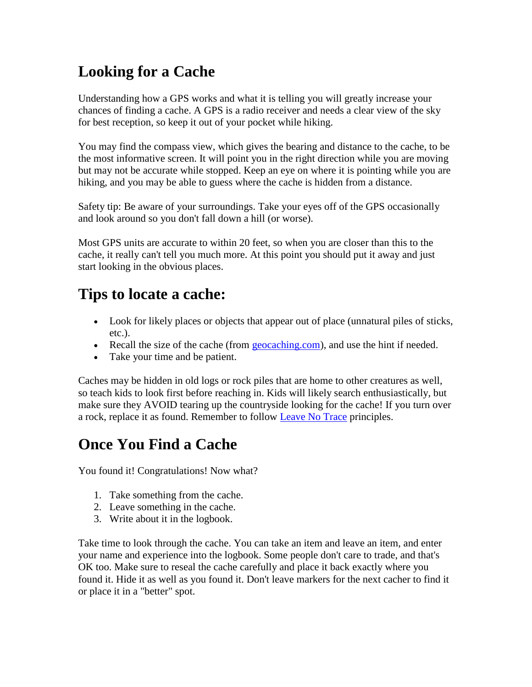## **Looking for a Cache**

Understanding how a GPS works and what it is telling you will greatly increase your chances of finding a cache. A GPS is a radio receiver and needs a clear view of the sky for best reception, so keep it out of your pocket while hiking.

You may find the compass view, which gives the bearing and distance to the cache, to be the most informative screen. It will point you in the right direction while you are moving but may not be accurate while stopped. Keep an eye on where it is pointing while you are hiking, and you may be able to guess where the cache is hidden from a distance.

Safety tip: Be aware of your surroundings. Take your eyes off of the GPS occasionally and look around so you don't fall down a hill (or worse).

Most GPS units are accurate to within 20 feet, so when you are closer than this to the cache, it really can't tell you much more. At this point you should put it away and just start looking in the obvious places.

#### **Tips to locate a cache:**

- Look for likely places or objects that appear out of place (unnatural piles of sticks, etc.).
- Recall the size of the cache (from [geocaching.com\)](http://www.geocaching.com/), and use the hint if needed.
- Take your time and be patient.

Caches may be hidden in old logs or rock piles that are home to other creatures as well, so teach kids to look first before reaching in. Kids will likely search enthusiastically, but make sure they AVOID tearing up the countryside looking for the cache! If you turn over a rock, replace it as found. Remember to follow [Leave No Trace](http://www.lnt.org/) principles.

#### **Once You Find a Cache**

You found it! Congratulations! Now what?

- 1. Take something from the cache.
- 2. Leave something in the cache.
- 3. Write about it in the logbook.

Take time to look through the cache. You can take an item and leave an item, and enter your name and experience into the logbook. Some people don't care to trade, and that's OK too. Make sure to reseal the cache carefully and place it back exactly where you found it. Hide it as well as you found it. Don't leave markers for the next cacher to find it or place it in a "better" spot.